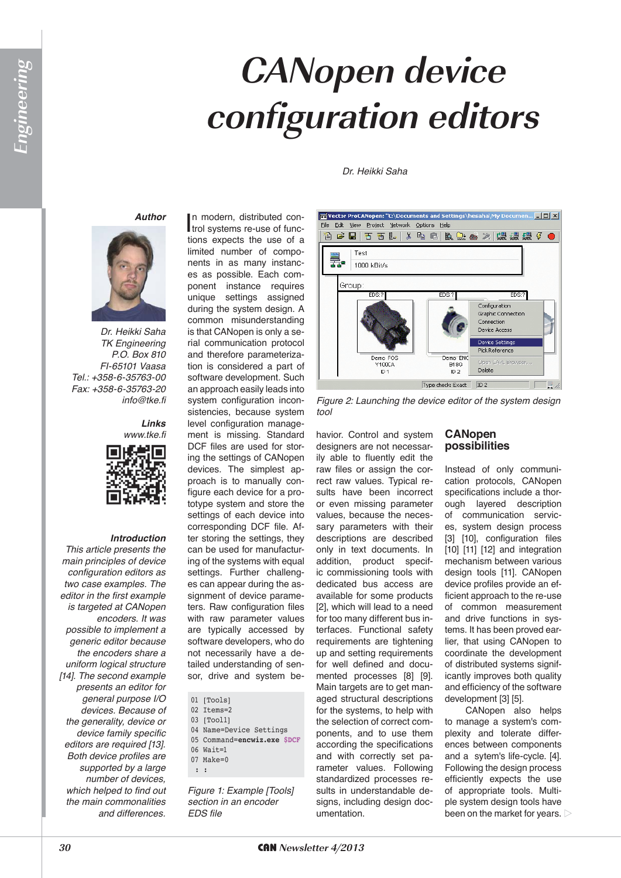#### *Dr. Heikki Saha*

#### *Author*



*Dr. Heikki Saha TK Engineering P.O. Box 810 FI-65101 Vaasa Tel.: +358-6-35763-00 Fax: +358-6-35763-20 info@tke.fi*

*Links www.tke.fi*



#### *Introduction*

*This article presents the main principles of device configuration editors as two case examples. The editor in the first example is targeted at CANopen encoders. It was possible to implement a generic editor because the encoders share a uniform logical structure [14]. The second example presents an editor for general purpose I/O devices. Because of the generality, device or device family specific editors are required [13]. Both device profiles are supported by a large number of devices, which helped to find out the main commonalities and differences.*

In modern, distributed con-<br>trol systems re-use of funcn modern, distributed contions expects the use of a limited number of components in as many instances as possible. Each component instance requires unique settings assigned during the system design. A common misunderstanding is that CANopen is only a serial communication protocol and therefore parameterization is considered a part of software development. Such an approach easily leads into system configuration inconsistencies, because system level configuration management is missing. Standard DCF files are used for storing the settings of CANopen devices. The simplest approach is to manually configure each device for a prototype system and store the settings of each device into corresponding DCF file. After storing the settings, they can be used for manufacturing of the systems with equal settings. Further challenges can appear during the assignment of device parameters. Raw configuration files with raw parameter values are typically accessed by software developers, who do not necessarily have a detailed understanding of sensor, drive and system be-

- 01 [Tools]
- $02$  T $+$  $\text{cm}$ s= $2$
- 03 [Tool1]
- 04 Name=Device Settings
- 05 Command=**encwiz.exe \$DCF**
- 06 Wait=1
- $07$  Make=0
- : :

*Figure 1: Example [Tools] section in an encoder EDS file*



*Figure 2: Launching the device editor of the system design tool*

havior. Control and system designers are not necessarily able to fluently edit the raw files or assign the correct raw values. Typical results have been incorrect or even missing parameter values, because the necessary parameters with their descriptions are described only in text documents. In addition, product specific commissioning tools with dedicated bus access are available for some products [2], which will lead to a need for too many different bus interfaces. Functional safety requirements are tightening up and setting requirements for well defined and documented processes [8] [9]. Main targets are to get managed structural descriptions for the systems, to help with the selection of correct components, and to use them according the specifications and with correctly set parameter values. Following standardized processes results in understandable designs, including design documentation.

### **CANopen possibilities**

Instead of only communication protocols, CANopen specifications include a thorough layered description of communication services, system design process [3] [10], configuration files [10] [11] [12] and integration mechanism between various design tools [11]. CANopen device profiles provide an efficient approach to the re-use of common measurement and drive functions in systems. It has been proved earlier, that using CANopen to coordinate the development of distributed systems significantly improves both quality and efficiency of the software development [3] [5].

CANopen also helps to manage a system's complexity and tolerate differences between components and a sytem's life-cycle. [4]. Following the design process efficiently expects the use of appropriate tools. Multiple system design tools have been on the market for years.  $\triangleright$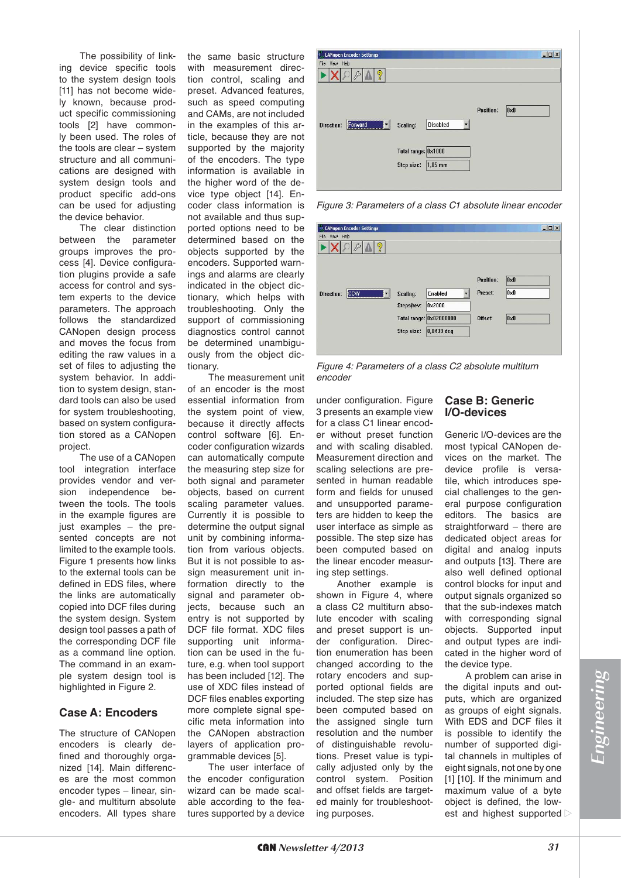The possibility of linking device specific tools to the system design tools [11] has not become widely known, because product specific commissioning tools [2] have commonly been used. The roles of the tools are clear – system structure and all communications are designed with system design tools and product specific add-ons can be used for adjusting the device behavior.

The clear distinction between the parameter groups improves the process [4]. Device configuration plugins provide a safe access for control and system experts to the device parameters. The approach follows the standardized CANopen design process and moves the focus from editing the raw values in a set of files to adjusting the system behavior. In addition to system design, standard tools can also be used for system troubleshooting, based on system configuration stored as a CANopen project.

The use of a CANopen tool integration interface provides vendor and version independence between the tools. The tools in the example figures are just examples – the presented concepts are not limited to the example tools. Figure 1 presents how links to the external tools can be defined in EDS files, where the links are automatically copied into DCF files during the system design. System design tool passes a path of the corresponding DCF file as a command line option. The command in an example system design tool is highlighted in Figure 2.

## **Case A: Encoders**

The structure of CANopen encoders is clearly defined and thoroughly organized [14]. Main differences are the most common encoder types – linear, single- and multiturn absolute encoders. All types share

the same basic structure with measurement direction control, scaling and preset. Advanced features, such as speed computing and CAMs, are not included in the examples of this article, because they are not supported by the majority of the encoders. The type information is available in the higher word of the device type object [14]. Encoder class information is not available and thus supported options need to be determined based on the objects supported by the encoders. Supported warnings and alarms are clearly indicated in the object dictionary, which helps with troubleshooting. Only the support of commissioning diagnostics control cannot be determined unambiguously from the object dictionary.

The measurement unit of an encoder is the most essential information from the system point of view, because it directly affects control software [6]. Encoder configuration wizards can automatically compute the measuring step size for both signal and parameter objects, based on current scaling parameter values. Currently it is possible to determine the output signal unit by combining information from various objects. But it is not possible to assign measurement unit information directly to the signal and parameter objects, because such an entry is not supported by DCF file format. XDC files supporting unit information can be used in the future, e.g. when tool support has been included [12]. The use of XDC files instead of DCF files enables exporting more complete signal specific meta information into the CANopen abstraction layers of application programmable devices [5].

The user interface of the encoder configuration wizard can be made scalable according to the features supported by a device

| <b>CANopen Encoder Settings</b><br>View Help<br>File |                     |                 |           |              | $ \Box$ $\times$ |
|------------------------------------------------------|---------------------|-----------------|-----------|--------------|------------------|
| ଡୃ                                                   |                     |                 |           |              |                  |
|                                                      |                     |                 |           |              |                  |
| Forward<br>Direction:                                | Scaling:            | <b>Disabled</b> | Position: | $0 \times 0$ |                  |
|                                                      |                     |                 |           |              |                  |
|                                                      | Total range: 0x1000 |                 |           |              |                  |
|                                                      | Step size:          | $1,05$ mm       |           |              |                  |

*Figure 3: Parameters of a class C1 absolute linear encoder*

| File View Help<br>ഴൂ           |                                                                               |                      |                                         |  |
|--------------------------------|-------------------------------------------------------------------------------|----------------------|-----------------------------------------|--|
| <b>CCW</b><br>Direction:<br>▼∥ | Enabled<br>Scaling:                                                           | Position:<br>Preset: | $0\times 0$<br>$\vert 0 \times 0 \vert$ |  |
|                                | 0x2000<br>Steps/rev:<br>Total range: 0x02000000<br>$0.0439$ deg<br>Step size: | Offset:              | $0\times 0$                             |  |

*Figure 4: Parameters of a class C2 absolute multiturn encoder*

under configuration. Figure 3 presents an example view for a class C1 linear encoder without preset function and with scaling disabled. Measurement direction and scaling selections are presented in human readable form and fields for unused and unsupported parameters are hidden to keep the user interface as simple as possible. The step size has been computed based on the linear encoder measuring step settings.

Another example is shown in Figure 4, where a class C2 multiturn absolute encoder with scaling and preset support is under configuration. Direction enumeration has been changed according to the rotary encoders and supported optional fields are included. The step size has been computed based on the assigned single turn resolution and the number of distinguishable revolutions. Preset value is typically adjusted only by the control system. Position and offset fields are targeted mainly for troubleshooting purposes.

# **Case B: Generic 1/O-devices**

Generic I/O-devices are the most typical CANopen devices on the market. The device profile is versatile, which introduces special challenges to the general purpose configuration editors. The basics are straightforward – there are dedicated object areas for digital and analog inputs and outputs [13]. There are also well defined optional control blocks for input and output signals organized so that the sub-indexes match with corresponding signal objects. Supported input and output types are indicated in the higher word of the device type.

A problem can arise in the digital inputs and outputs, which are organized as groups of eight signals. With EDS and DCF files it is possible to identify the number of supported digital channels in multiples of eight signals, not one by one [1] [10]. If the minimum and maximum value of a byte object is defined, the lowest and highest supported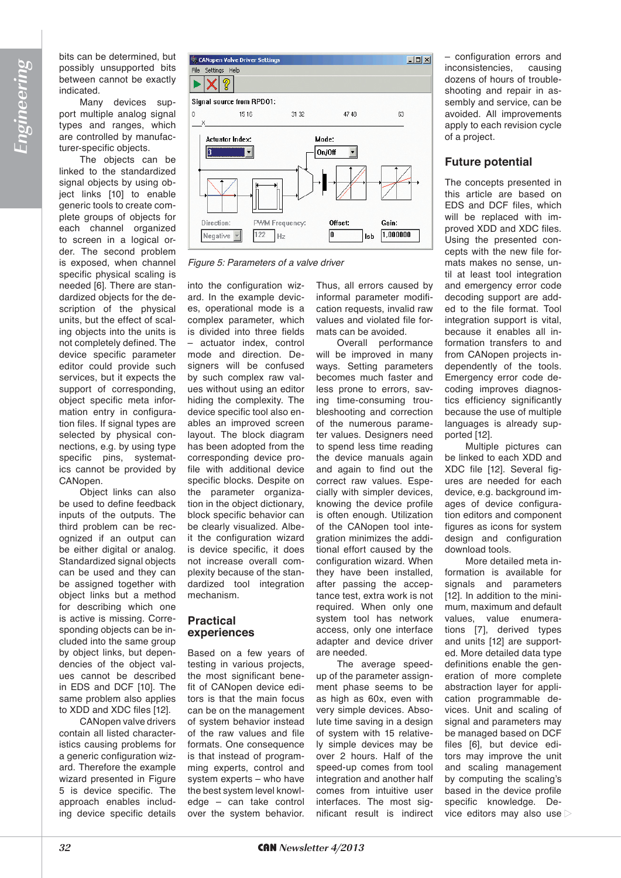bits can be determined, but possibly unsupported bits between cannot be exactly indicated.

Many devices support multiple analog signal types and ranges, which are controlled by manufacturer-specific objects.

The objects can be linked to the standardized signal objects by using object links [10] to enable generic tools to create complete groups of objects for each channel organized to screen in a logical order. The second problem is exposed, when channel specific physical scaling is needed [6]. There are standardized objects for the description of the physical units, but the effect of scaling objects into the units is not completely defined. The device specific parameter editor could provide such services, but it expects the support of corresponding, object specific meta information entry in configuration files. If signal types are selected by physical connections, e.g. by using type specific pins, systematics cannot be provided by CANopen.

Object links can also be used to define feedback inputs of the outputs. The third problem can be recognized if an output can be either digital or analog. Standardized signal objects can be used and they can be assigned together with object links but a method for describing which one is active is missing. Corresponding objects can be included into the same group by object links, but dependencies of the object values cannot be described in EDS and DCF [10]. The same problem also applies to XDD and XDC files [12].

CANopen valve drivers contain all listed characteristics causing problems for a generic configuration wizard. Therefore the example wizard presented in Figure 5 is device specific. The approach enables including device specific details



*Figure 5: Parameters of a valve driver*

into the configuration wizard. In the example devices, operational mode is a complex parameter, which is divided into three fields – actuator index, control mode and direction. Designers will be confused by such complex raw values without using an editor hiding the complexity. The device specific tool also enables an improved screen layout. The block diagram has been adopted from the corresponding device profile with additional device specific blocks. Despite on the parameter organization in the object dictionary, block specific behavior can be clearly visualized. Albeit the configuration wizard is device specific, it does not increase overall complexity because of the standardized tool integration mechanism.

## **Practical** experiences

Based on a few years of testing in various projects, the most significant benefit of CANopen device editors is that the main focus can be on the management of system behavior instead of the raw values and file formats. One consequence is that instead of programming experts, control and system experts – who have the best system level knowledge – can take control over the system behavior.

Thus, all errors caused by informal parameter modification requests, invalid raw values and violated file formats can be avoided.

Overall performance will be improved in many ways. Setting parameters becomes much faster and less prone to errors, saving time-consuming troubleshooting and correction of the numerous parameter values. Designers need to spend less time reading the device manuals again and again to find out the correct raw values. Especially with simpler devices, knowing the device profile is often enough. Utilization of the CANopen tool integration minimizes the additional effort caused by the configuration wizard. When they have been installed, after passing the acceptance test, extra work is not required. When only one system tool has network access, only one interface adapter and device driver are needed.

The average speedup of the parameter assignment phase seems to be as high as 60x, even with very simple devices. Absolute time saving in a design of system with 15 relatively simple devices may be over 2 hours. Half of the speed-up comes from tool integration and another half comes from intuitive user interfaces. The most significant result is indirect

– configuration errors and inconsistencies, causing dozens of hours of troubleshooting and repair in assembly and service, can be avoided. All improvements apply to each revision cycle of a project.

# **Future potential**

The concepts presented in this article are based on EDS and DCF files, which will be replaced with improved XDD and XDC files. Using the presented concepts with the new file formats makes no sense, until at least tool integration and emergency error code decoding support are added to the file format. Tool integration support is vital, because it enables all information transfers to and from CANopen projects independently of the tools. Emergency error code decoding improves diagnostics efficiency significantly because the use of multiple languages is already supported [12].

Multiple pictures can be linked to each XDD and XDC file [12]. Several figures are needed for each device, e.g. background images of device configuration editors and component figures as icons for system design and configuration download tools.

More detailed meta information is available for signals and parameters [12]. In addition to the minimum, maximum and default values, value enumerations [7], derived types and units [12] are supported. More detailed data type definitions enable the generation of more complete abstraction layer for application programmable devices. Unit and scaling of signal and parameters may be managed based on DCF files [6], but device editors may improve the unit and scaling management by computing the scaling's based in the device profile specific knowledge. Device editors may also use